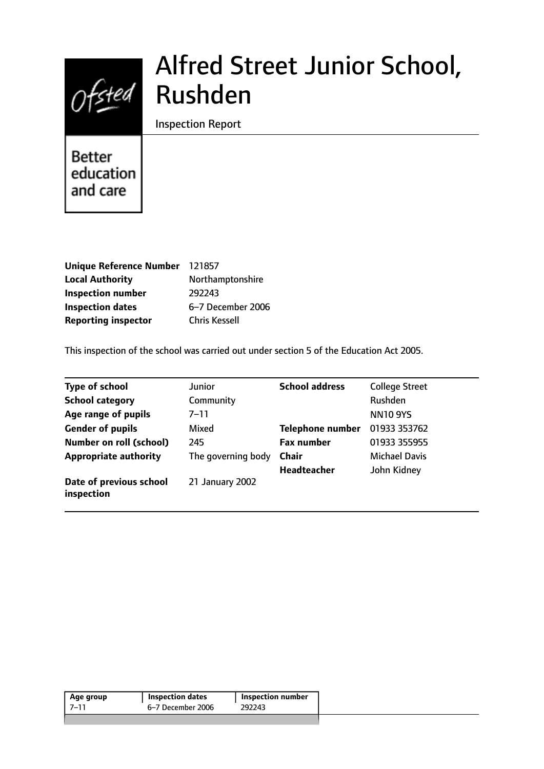# $Of$ sted

# Alfred Street Junior School, Rushden

Inspection Report

**Better** education and care

| Unique Reference Number 121857 |                      |
|--------------------------------|----------------------|
| <b>Local Authority</b>         | Northamptonshire     |
| <b>Inspection number</b>       | 292243               |
| <b>Inspection dates</b>        | 6-7 December 2006    |
| <b>Reporting inspector</b>     | <b>Chris Kessell</b> |

This inspection of the school was carried out under section 5 of the Education Act 2005.

| <b>Type of school</b>                 | Junior             | <b>School address</b>   | <b>College Street</b> |
|---------------------------------------|--------------------|-------------------------|-----------------------|
| <b>School category</b>                | Community          |                         | <b>Rushden</b>        |
| Age range of pupils                   | $7 - 11$           |                         | <b>NN10 9YS</b>       |
| <b>Gender of pupils</b>               | Mixed              | <b>Telephone number</b> | 01933 353762          |
| <b>Number on roll (school)</b>        | 245                | <b>Fax number</b>       | 01933 355955          |
| <b>Appropriate authority</b>          | The governing body | <b>Chair</b>            | <b>Michael Davis</b>  |
|                                       |                    | <b>Headteacher</b>      | John Kidney           |
| Date of previous school<br>inspection | 21 January 2002    |                         |                       |

| 6–7 December 2006<br>292243 | Age group | <b>Inspection dates</b> | Inspection number |  |
|-----------------------------|-----------|-------------------------|-------------------|--|
|                             | 7–11      |                         |                   |  |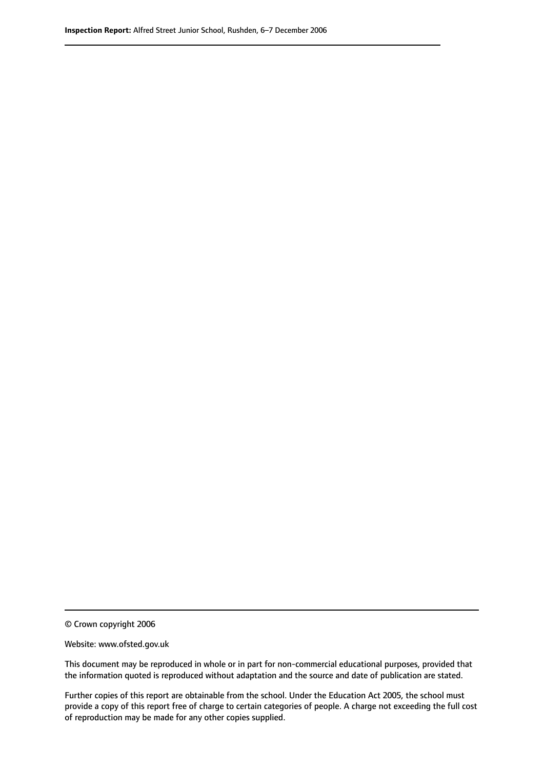© Crown copyright 2006

Website: www.ofsted.gov.uk

This document may be reproduced in whole or in part for non-commercial educational purposes, provided that the information quoted is reproduced without adaptation and the source and date of publication are stated.

Further copies of this report are obtainable from the school. Under the Education Act 2005, the school must provide a copy of this report free of charge to certain categories of people. A charge not exceeding the full cost of reproduction may be made for any other copies supplied.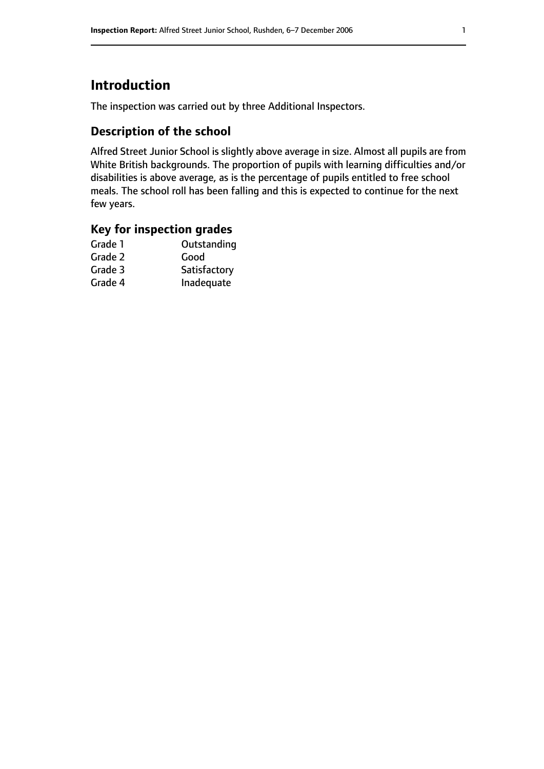# **Introduction**

The inspection was carried out by three Additional Inspectors.

# **Description of the school**

Alfred Street Junior School is slightly above average in size. Almost all pupils are from White British backgrounds. The proportion of pupils with learning difficulties and/or disabilities is above average, as is the percentage of pupils entitled to free school meals. The school roll has been falling and this is expected to continue for the next few years.

# **Key for inspection grades**

| Good         |
|--------------|
|              |
| Satisfactory |
| Inadequate   |
|              |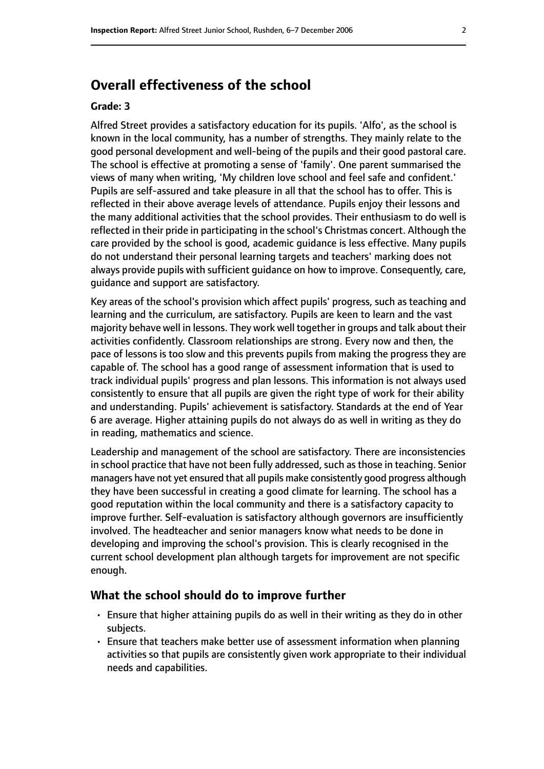# **Overall effectiveness of the school**

#### **Grade: 3**

Alfred Street provides a satisfactory education for its pupils. 'Alfo', as the school is known in the local community, has a number of strengths. They mainly relate to the good personal development and well-being of the pupils and their good pastoral care. The school is effective at promoting a sense of 'family'. One parent summarised the views of many when writing, 'My children love school and feel safe and confident.' Pupils are self-assured and take pleasure in all that the school has to offer. This is reflected in their above average levels of attendance. Pupils enjoy their lessons and the many additional activities that the school provides. Their enthusiasm to do well is reflected in their pride in participating in the school's Christmas concert. Although the care provided by the school is good, academic guidance is less effective. Many pupils do not understand their personal learning targets and teachers' marking does not always provide pupils with sufficient guidance on how to improve. Consequently, care, guidance and support are satisfactory.

Key areas of the school's provision which affect pupils' progress, such as teaching and learning and the curriculum, are satisfactory. Pupils are keen to learn and the vast majority behave well in lessons. They work well together in groups and talk about their activities confidently. Classroom relationships are strong. Every now and then, the pace of lessons is too slow and this prevents pupils from making the progress they are capable of. The school has a good range of assessment information that is used to track individual pupils' progress and plan lessons. This information is not always used consistently to ensure that all pupils are given the right type of work for their ability and understanding. Pupils' achievement is satisfactory. Standards at the end of Year 6 are average. Higher attaining pupils do not always do as well in writing as they do in reading, mathematics and science.

Leadership and management of the school are satisfactory. There are inconsistencies in school practice that have not been fully addressed, such as those in teaching. Senior managers have not yet ensured that all pupils make consistently good progress although they have been successful in creating a good climate for learning. The school has a good reputation within the local community and there is a satisfactory capacity to improve further. Self-evaluation is satisfactory although governors are insufficiently involved. The headteacher and senior managers know what needs to be done in developing and improving the school's provision. This is clearly recognised in the current school development plan although targets for improvement are not specific enough.

#### **What the school should do to improve further**

- Ensure that higher attaining pupils do as well in their writing as they do in other subjects.
- Ensure that teachers make better use of assessment information when planning activities so that pupils are consistently given work appropriate to their individual needs and capabilities.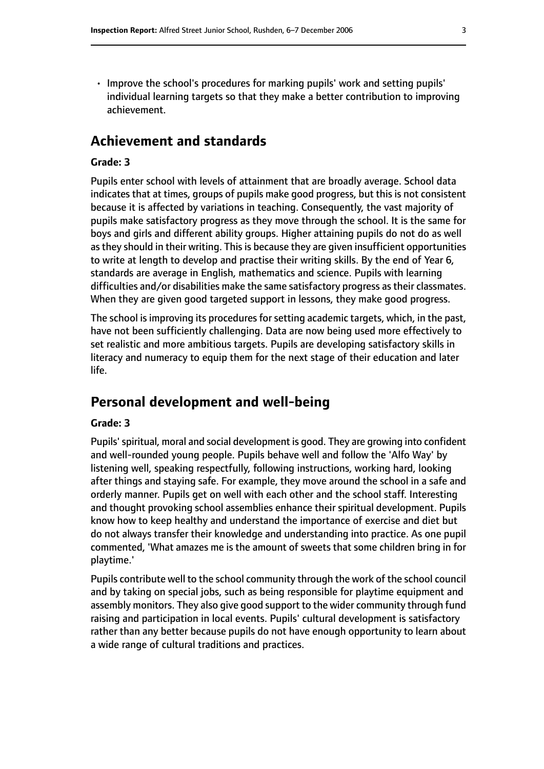• Improve the school's procedures for marking pupils' work and setting pupils' individual learning targets so that they make a better contribution to improving achievement.

## **Achievement and standards**

#### **Grade: 3**

Pupils enter school with levels of attainment that are broadly average. School data indicates that at times, groups of pupils make good progress, but this is not consistent because it is affected by variations in teaching. Consequently, the vast majority of pupils make satisfactory progress as they move through the school. It is the same for boys and girls and different ability groups. Higher attaining pupils do not do as well as they should in their writing. This is because they are given insufficient opportunities to write at length to develop and practise their writing skills. By the end of Year 6, standards are average in English, mathematics and science. Pupils with learning difficulties and/or disabilities make the same satisfactory progress as their classmates. When they are given good targeted support in lessons, they make good progress.

The school is improving its procedures for setting academic targets, which, in the past, have not been sufficiently challenging. Data are now being used more effectively to set realistic and more ambitious targets. Pupils are developing satisfactory skills in literacy and numeracy to equip them for the next stage of their education and later life.

# **Personal development and well-being**

#### **Grade: 3**

Pupils'spiritual, moral and social development is good. They are growing into confident and well-rounded young people. Pupils behave well and follow the 'Alfo Way' by listening well, speaking respectfully, following instructions, working hard, looking after things and staying safe. For example, they move around the school in a safe and orderly manner. Pupils get on well with each other and the school staff. Interesting and thought provoking school assemblies enhance their spiritual development. Pupils know how to keep healthy and understand the importance of exercise and diet but do not always transfer their knowledge and understanding into practice. As one pupil commented, 'What amazes me is the amount of sweets that some children bring in for playtime.'

Pupils contribute well to the school community through the work of the school council and by taking on special jobs, such as being responsible for playtime equipment and assembly monitors. They also give good support to the wider community through fund raising and participation in local events. Pupils' cultural development is satisfactory rather than any better because pupils do not have enough opportunity to learn about a wide range of cultural traditions and practices.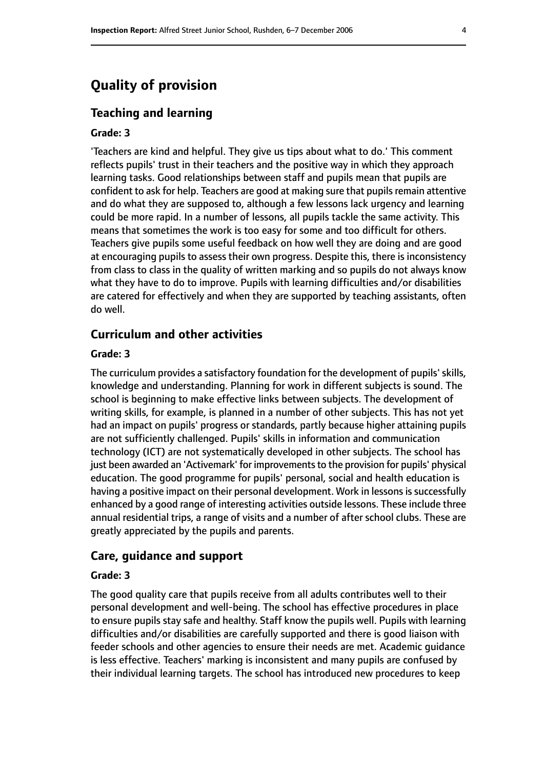# **Quality of provision**

#### **Teaching and learning**

#### **Grade: 3**

'Teachers are kind and helpful. They give us tips about what to do.' This comment reflects pupils' trust in their teachers and the positive way in which they approach learning tasks. Good relationships between staff and pupils mean that pupils are confident to ask for help. Teachers are good at making sure that pupils remain attentive and do what they are supposed to, although a few lessons lack urgency and learning could be more rapid. In a number of lessons, all pupils tackle the same activity. This means that sometimes the work is too easy for some and too difficult for others. Teachers give pupils some useful feedback on how well they are doing and are good at encouraging pupils to assess their own progress. Despite this, there is inconsistency from class to class in the quality of written marking and so pupils do not always know what they have to do to improve. Pupils with learning difficulties and/or disabilities are catered for effectively and when they are supported by teaching assistants, often do well.

#### **Curriculum and other activities**

#### **Grade: 3**

The curriculum provides a satisfactory foundation for the development of pupils' skills, knowledge and understanding. Planning for work in different subjects is sound. The school is beginning to make effective links between subjects. The development of writing skills, for example, is planned in a number of other subjects. This has not yet had an impact on pupils' progress or standards, partly because higher attaining pupils are not sufficiently challenged. Pupils' skills in information and communication technology (ICT) are not systematically developed in other subjects. The school has just been awarded an 'Activemark' for improvements to the provision for pupils' physical education. The good programme for pupils' personal, social and health education is having a positive impact on their personal development. Work in lessons is successfully enhanced by a good range of interesting activities outside lessons. These include three annual residential trips, a range of visits and a number of after school clubs. These are greatly appreciated by the pupils and parents.

#### **Care, guidance and support**

#### **Grade: 3**

The good quality care that pupils receive from all adults contributes well to their personal development and well-being. The school has effective procedures in place to ensure pupils stay safe and healthy. Staff know the pupils well. Pupils with learning difficulties and/or disabilities are carefully supported and there is good liaison with feeder schools and other agencies to ensure their needs are met. Academic guidance is less effective. Teachers' marking is inconsistent and many pupils are confused by their individual learning targets. The school has introduced new procedures to keep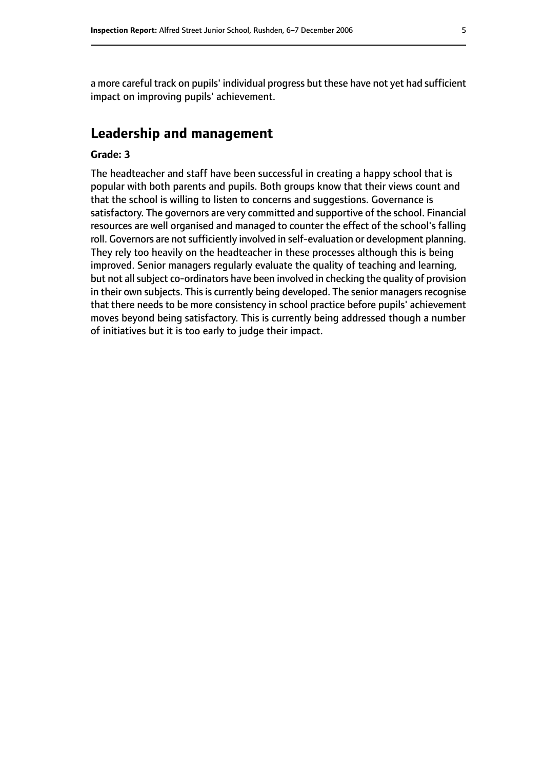a more careful track on pupils' individual progress but these have not yet had sufficient impact on improving pupils' achievement.

# **Leadership and management**

#### **Grade: 3**

The headteacher and staff have been successful in creating a happy school that is popular with both parents and pupils. Both groups know that their views count and that the school is willing to listen to concerns and suggestions. Governance is satisfactory. The governors are very committed and supportive of the school. Financial resources are well organised and managed to counter the effect of the school's falling roll. Governors are not sufficiently involved in self-evaluation or development planning. They rely too heavily on the headteacher in these processes although this is being improved. Senior managers regularly evaluate the quality of teaching and learning, but not all subject co-ordinators have been involved in checking the quality of provision in their own subjects. This is currently being developed. The senior managers recognise that there needs to be more consistency in school practice before pupils' achievement moves beyond being satisfactory. This is currently being addressed though a number of initiatives but it is too early to judge their impact.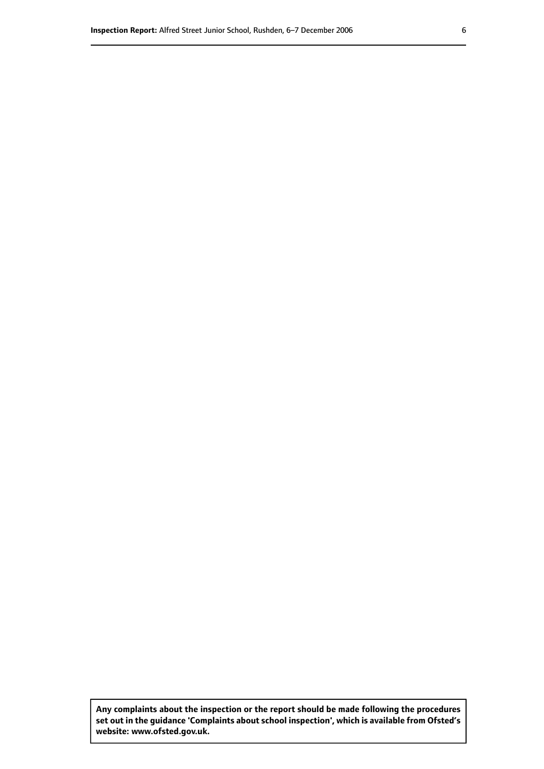**Any complaints about the inspection or the report should be made following the procedures set out inthe guidance 'Complaints about school inspection', whichis available from Ofsted's website: www.ofsted.gov.uk.**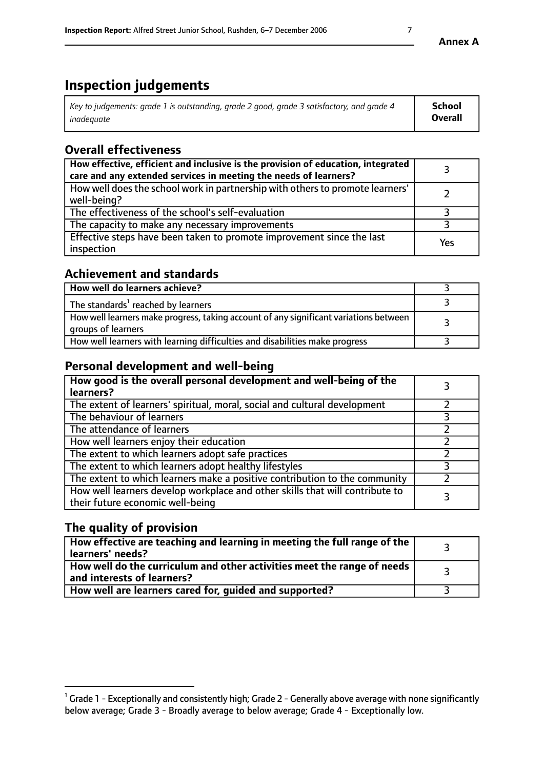# **Inspection judgements**

| Key to judgements: grade 1 is outstanding, grade 2 good, grade 3 satisfactory, and grade 4 | School         |
|--------------------------------------------------------------------------------------------|----------------|
| inadeauate                                                                                 | <b>Overall</b> |

# **Overall effectiveness**

| How effective, efficient and inclusive is the provision of education, integrated<br>care and any extended services in meeting the needs of learners? |     |
|------------------------------------------------------------------------------------------------------------------------------------------------------|-----|
| How well does the school work in partnership with others to promote learners'<br>well-being?                                                         |     |
| The effectiveness of the school's self-evaluation                                                                                                    |     |
| The capacity to make any necessary improvements                                                                                                      |     |
| Effective steps have been taken to promote improvement since the last<br>inspection                                                                  | Yes |

# **Achievement and standards**

| How well do learners achieve?                                                                               |  |
|-------------------------------------------------------------------------------------------------------------|--|
| The standards <sup>1</sup> reached by learners                                                              |  |
| How well learners make progress, taking account of any significant variations between<br>groups of learners |  |
| How well learners with learning difficulties and disabilities make progress                                 |  |

# **Personal development and well-being**

| How good is the overall personal development and well-being of the<br>learners?                                  |  |
|------------------------------------------------------------------------------------------------------------------|--|
| The extent of learners' spiritual, moral, social and cultural development                                        |  |
| The behaviour of learners                                                                                        |  |
| The attendance of learners                                                                                       |  |
| How well learners enjoy their education                                                                          |  |
| The extent to which learners adopt safe practices                                                                |  |
| The extent to which learners adopt healthy lifestyles                                                            |  |
| The extent to which learners make a positive contribution to the community                                       |  |
| How well learners develop workplace and other skills that will contribute to<br>their future economic well-being |  |

# **The quality of provision**

| How effective are teaching and learning in meeting the full range of the<br>learners' needs?          |  |
|-------------------------------------------------------------------------------------------------------|--|
| How well do the curriculum and other activities meet the range of needs<br>and interests of learners? |  |
| How well are learners cared for, guided and supported?                                                |  |

**Annex A**

 $^1$  Grade 1 - Exceptionally and consistently high; Grade 2 - Generally above average with none significantly below average; Grade 3 - Broadly average to below average; Grade 4 - Exceptionally low.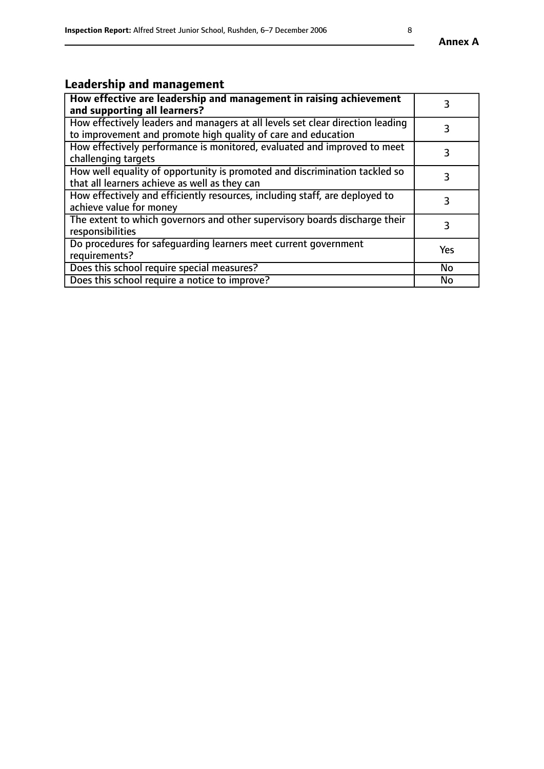# **Leadership and management**

| How effective are leadership and management in raising achievement<br>and supporting all learners?                                              |           |
|-------------------------------------------------------------------------------------------------------------------------------------------------|-----------|
| How effectively leaders and managers at all levels set clear direction leading<br>to improvement and promote high quality of care and education |           |
| How effectively performance is monitored, evaluated and improved to meet<br>challenging targets                                                 | 3         |
| How well equality of opportunity is promoted and discrimination tackled so<br>that all learners achieve as well as they can                     |           |
| How effectively and efficiently resources, including staff, are deployed to<br>achieve value for money                                          | 3         |
| The extent to which governors and other supervisory boards discharge their<br>responsibilities                                                  | 3         |
| Do procedures for safequarding learners meet current government<br>requirements?                                                                | Yes       |
| Does this school require special measures?                                                                                                      | No        |
| Does this school require a notice to improve?                                                                                                   | <b>No</b> |